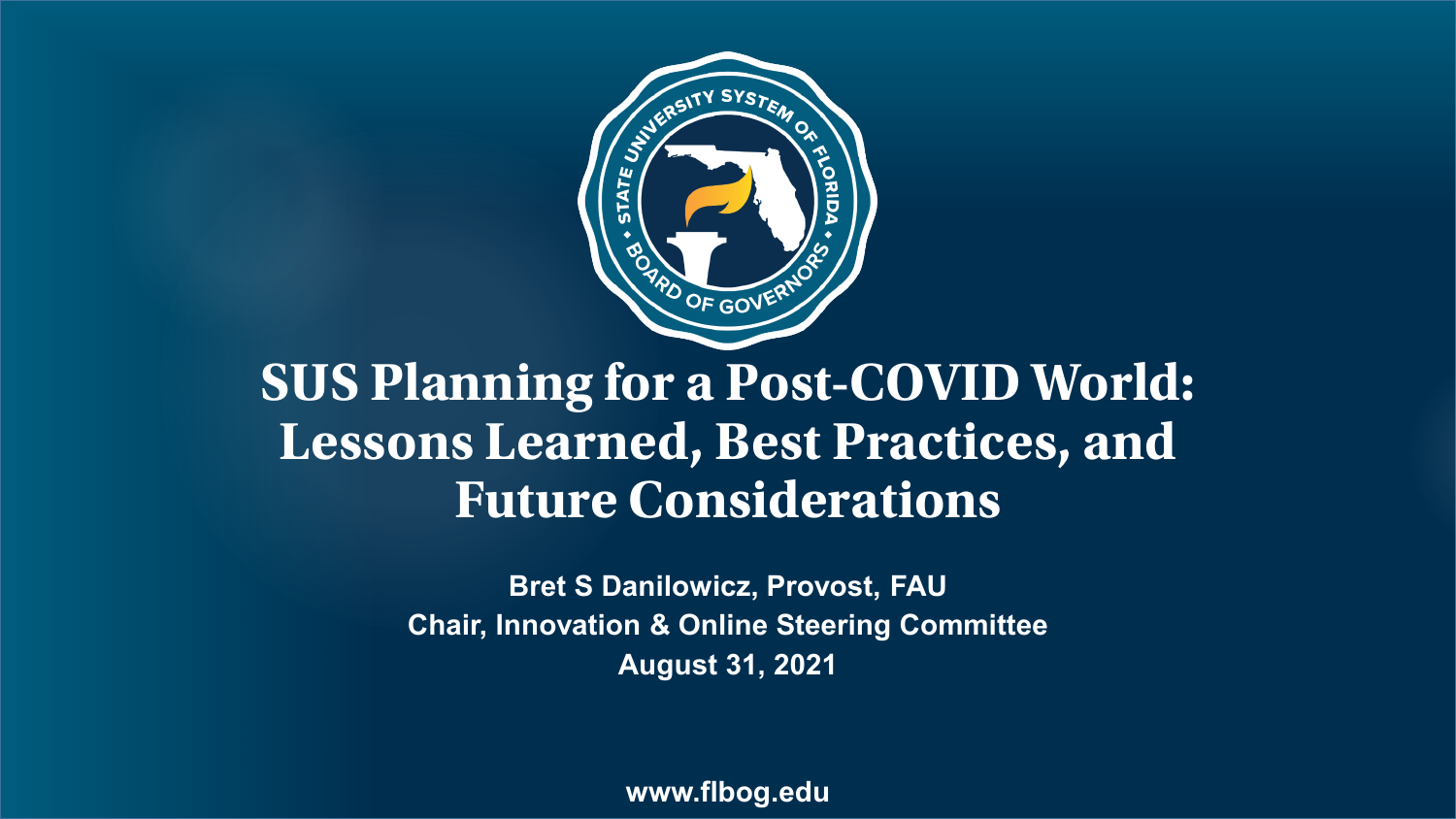

#### **SUS Planning for a Post-COVID World: Lessons Learned, Best Practices, and Future Considerations**

**Bret S Danilowicz, Provost, FAU Chair, Innovation & Online Steering Committee August 31, 2021**

**www.flbog.edu**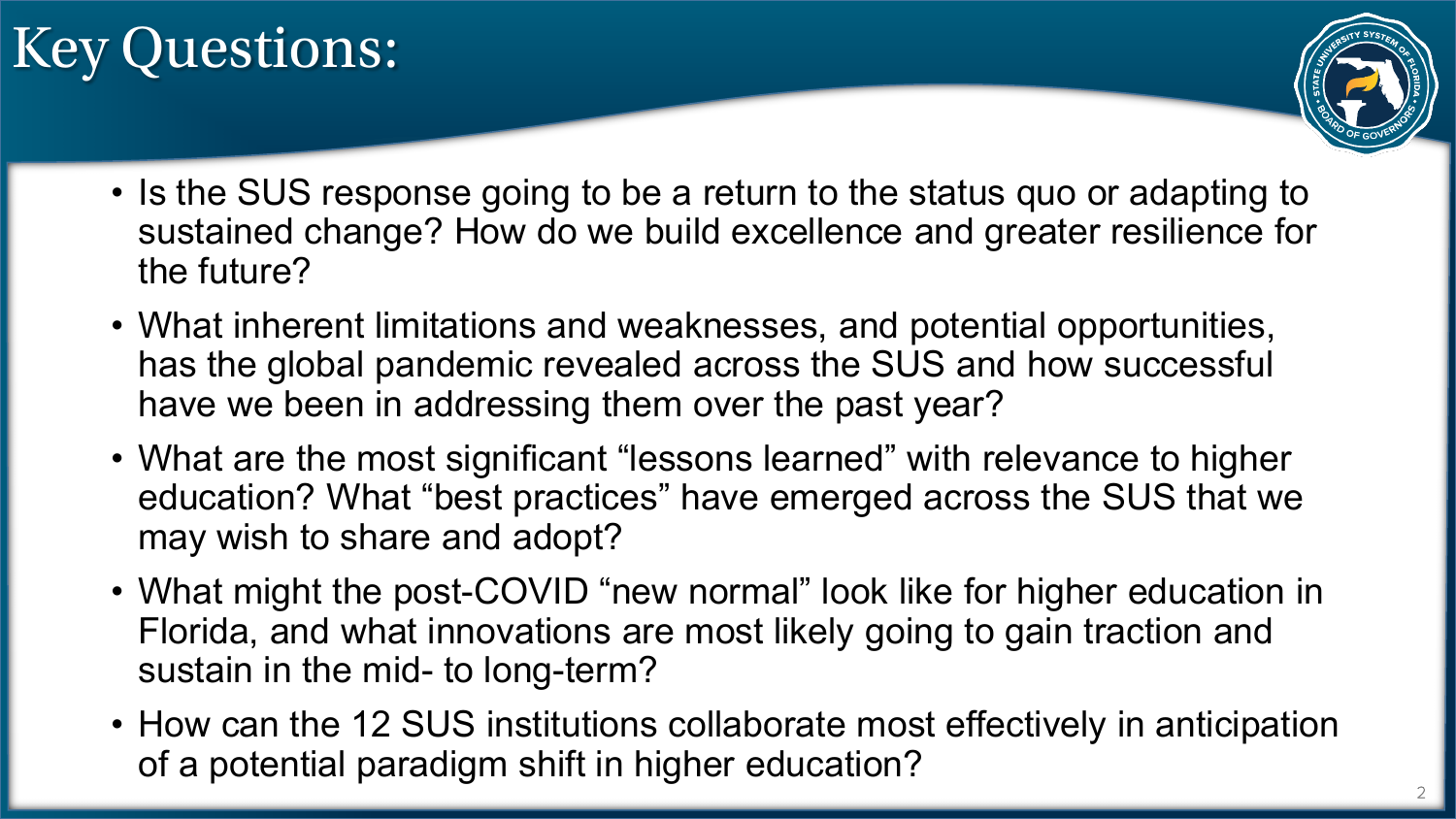# Key Questions:



- Is the SUS response going to be a return to the status quo or adapting to sustained change? How do we build excellence and greater resilience for the future?
- What inherent limitations and weaknesses, and potential opportunities, has the global pandemic revealed across the SUS and how successful have we been in addressing them over the past year?
- What are the most significant "lessons learned" with relevance to higher education? What "best practices" have emerged across the SUS that we may wish to share and adopt?
- What might the post-COVID "new normal" look like for higher education in Florida, and what innovations are most likely going to gain traction and sustain in the mid- to long-term?
- How can the 12 SUS institutions collaborate most effectively in anticipation of a potential paradigm shift in higher education?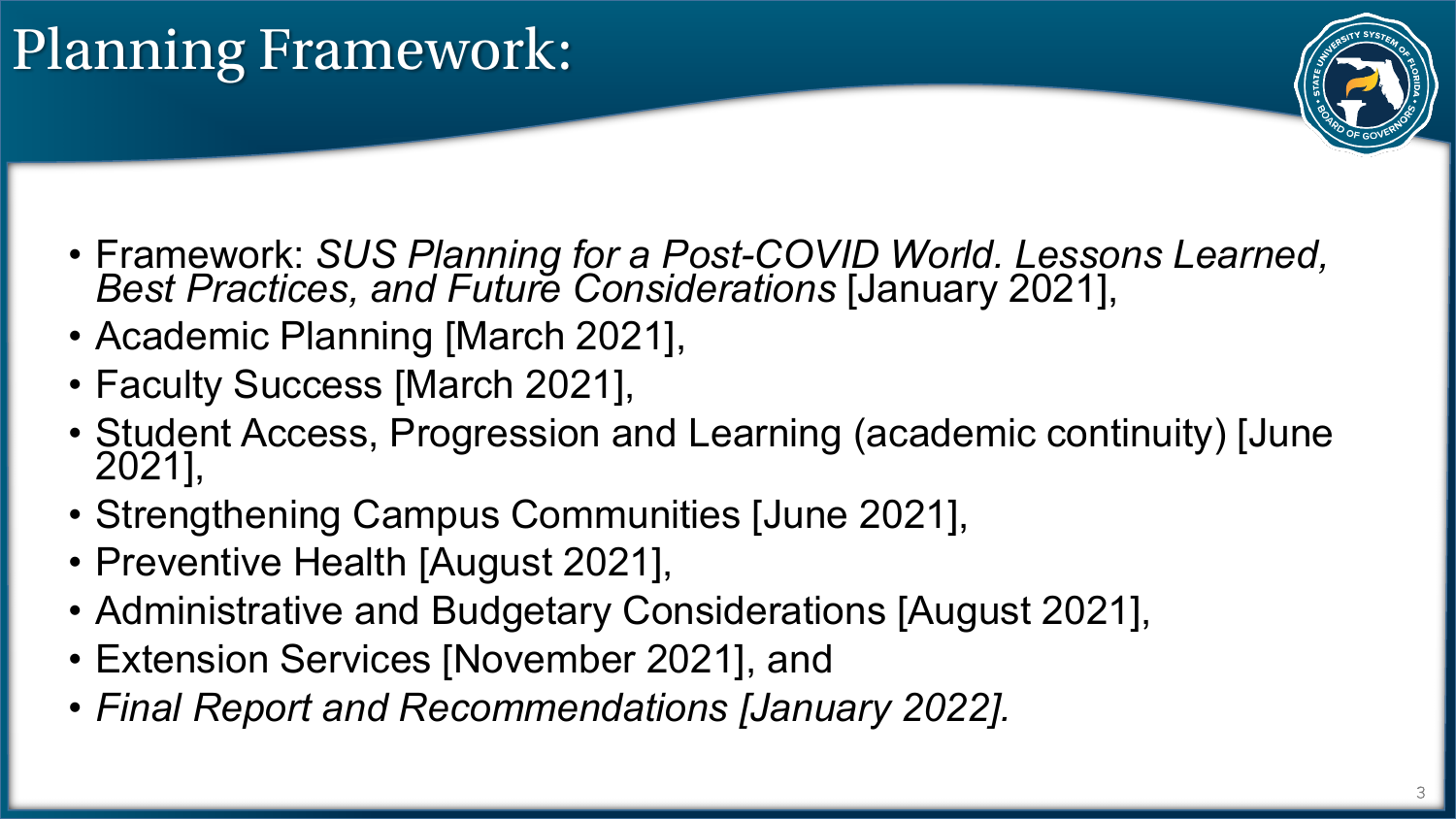

- Framework: *SUS Planning for a Post-COVID World. Lessons Learned, Best Practices, and Future Considerations* [January 2021],
- Academic Planning [March 2021],
- Faculty Success [March 2021],
- Student Access, Progression and Learning (academic continuity) [June 2021],
- Strengthening Campus Communities [June 2021],
- Preventive Health [August 2021],
- Administrative and Budgetary Considerations [August 2021],
- Extension Services [November 2021], and
- *Final Report and Recommendations [January 2022].*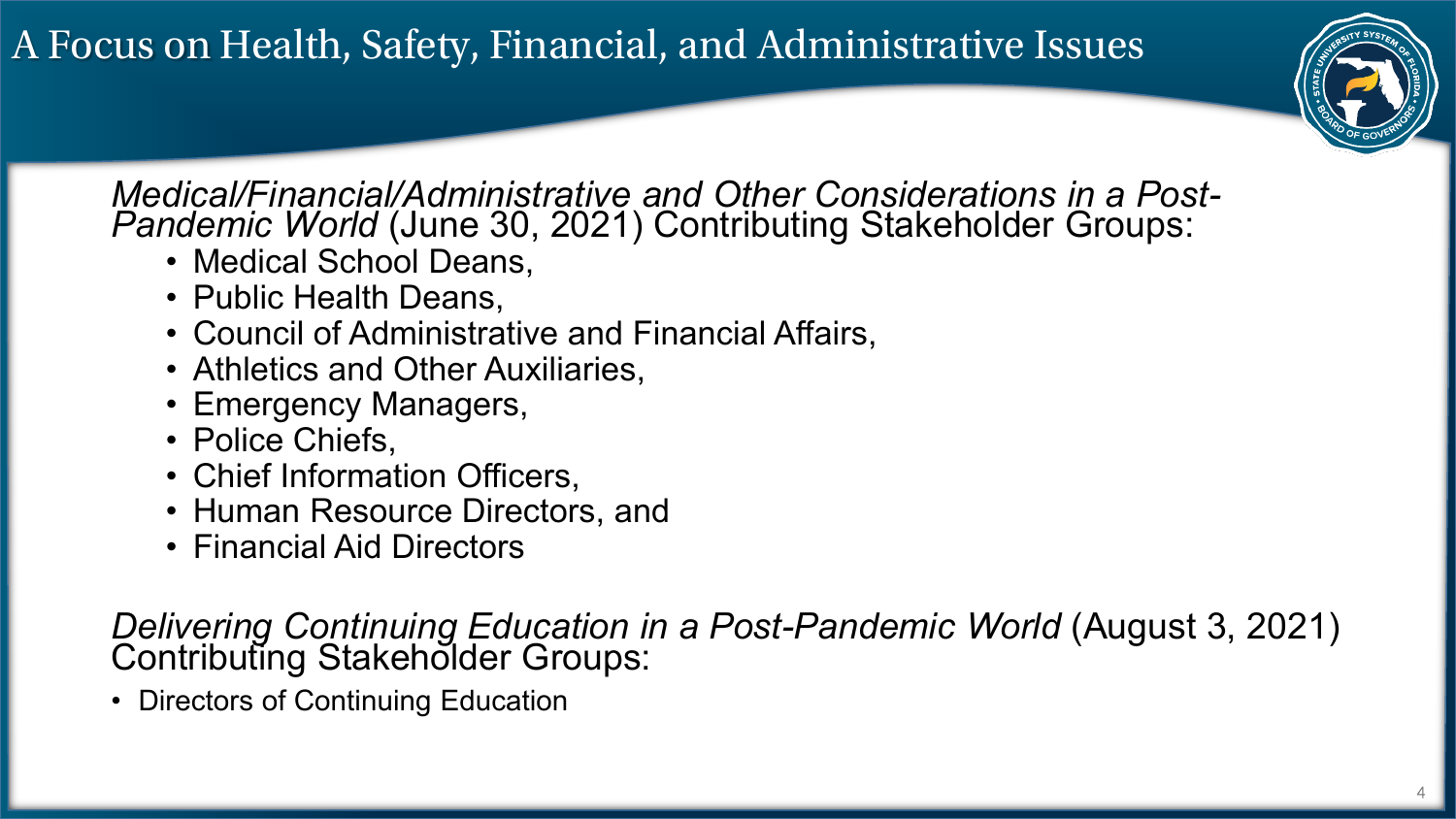A Focus on Health, Safety, Financial, and Administrative Issues



*Medical/Financial/Administrative and Other Considerations in a Post- Pandemic World* (June 30, 2021) Contributing Stakeholder Groups:

- Medical School Deans,
- Public Health Deans,
- Council of Administrative and Financial Affairs,
- Athletics and Other Auxiliaries,
- Emergency Managers,
- Police Chiefs,
- Chief Information Officers,
- Human Resource Directors, and
- Financial Aid Directors

*Delivering Continuing Education in a Post-Pandemic World (August 3, 2021)*<br>Contributing Stakeholder Groups:

• Directors of Continuing Education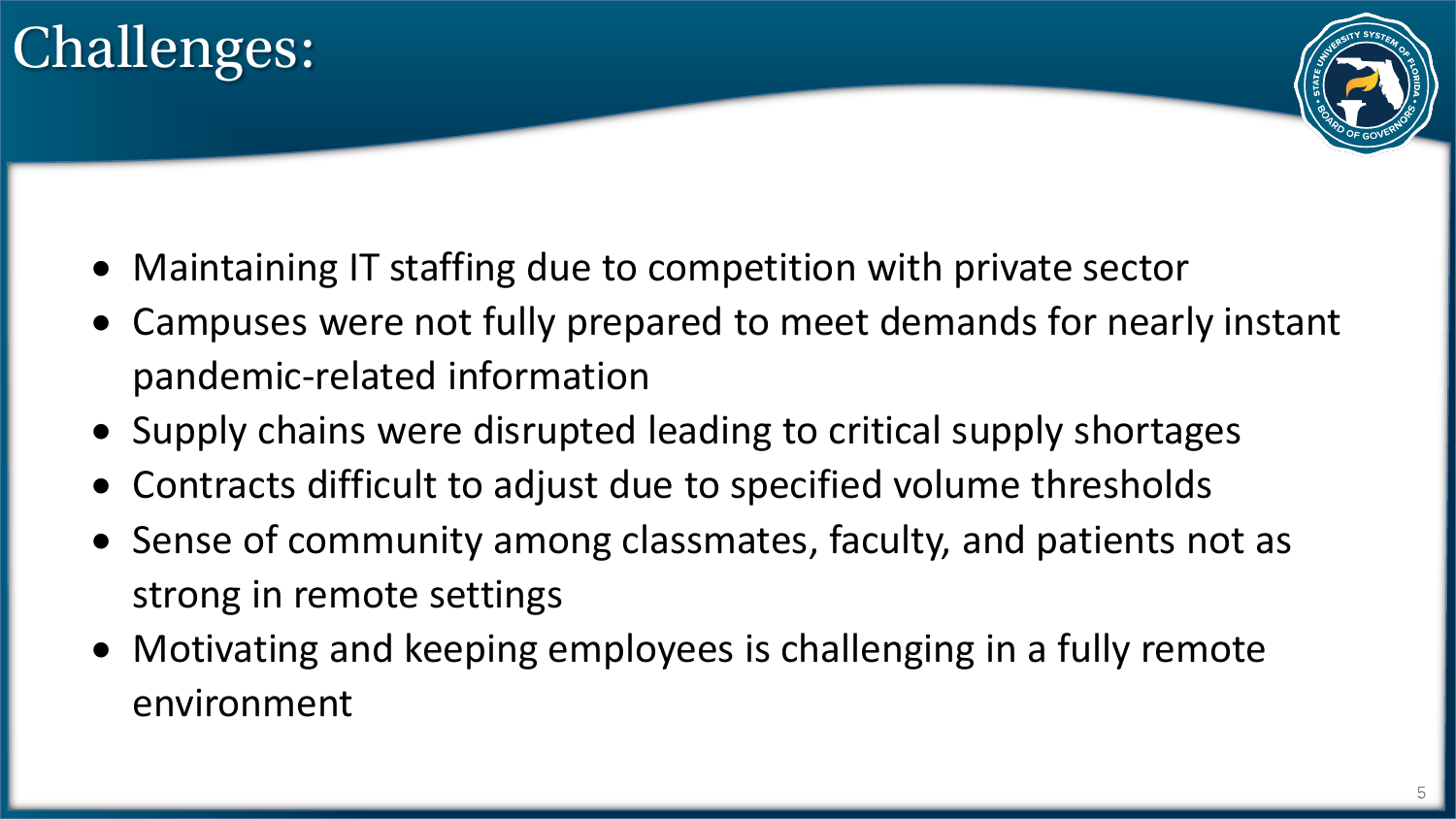



- Maintaining IT staffing due to competition with private sector
- Campuses were not fully prepared to meet demands for nearly instant pandemic-related information
- Supply chains were disrupted leading to critical supply shortages
- Contracts difficult to adjust due to specified volume thresholds
- Sense of community among classmates, faculty, and patients not as strong in remote settings
- Motivating and keeping employees is challenging in a fully remote environment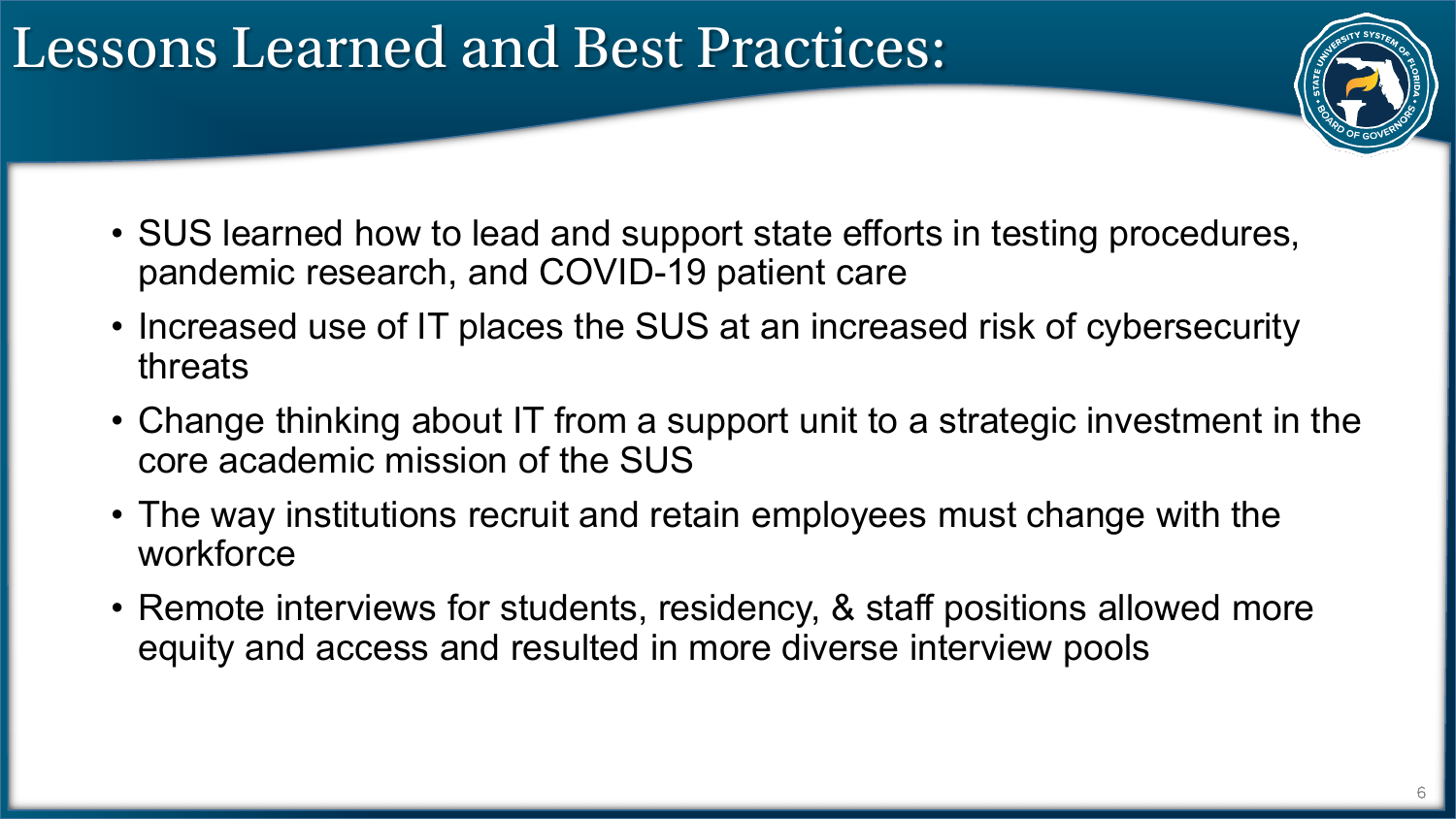### Lessons Learned and Best Practices:



- SUS learned how to lead and support state efforts in testing procedures, pandemic research, and COVID-19 patient care
- Increased use of IT places the SUS at an increased risk of cybersecurity threats
- Change thinking about IT from a support unit to a strategic investment in the core academic mission of the SUS
- The way institutions recruit and retain employees must change with the workforce
- Remote interviews for students, residency, & staff positions allowed more equity and access and resulted in more diverse interview pools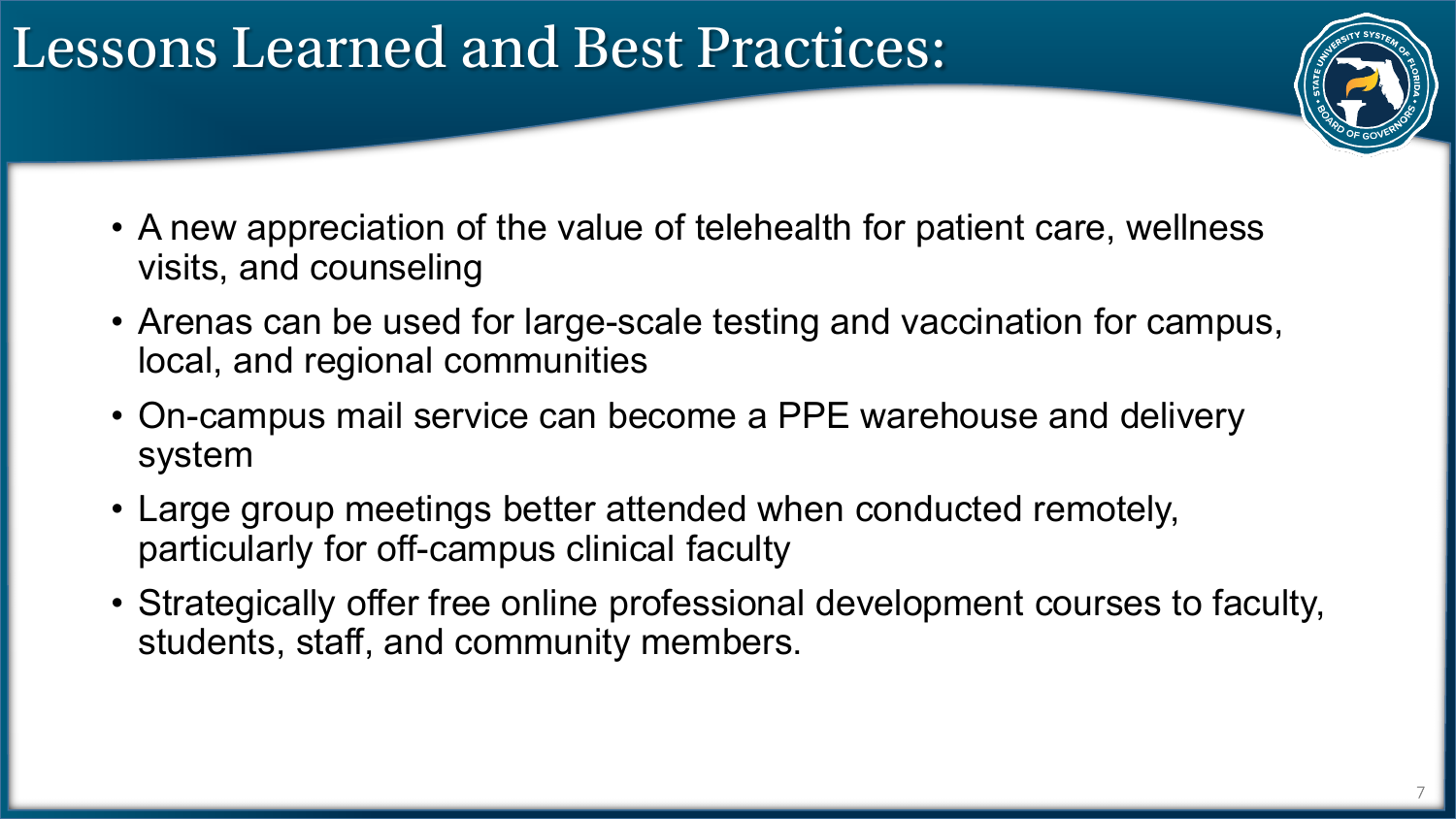### Lessons Learned and Best Practices:



- A new appreciation of the value of telehealth for patient care, wellness visits, and counseling
- Arenas can be used for large-scale testing and vaccination for campus, local, and regional communities
- On-campus mail service can become a PPE warehouse and delivery system
- Large group meetings better attended when conducted remotely, particularly for off-campus clinical faculty
- Strategically offer free online professional development courses to faculty, students, staff, and community members.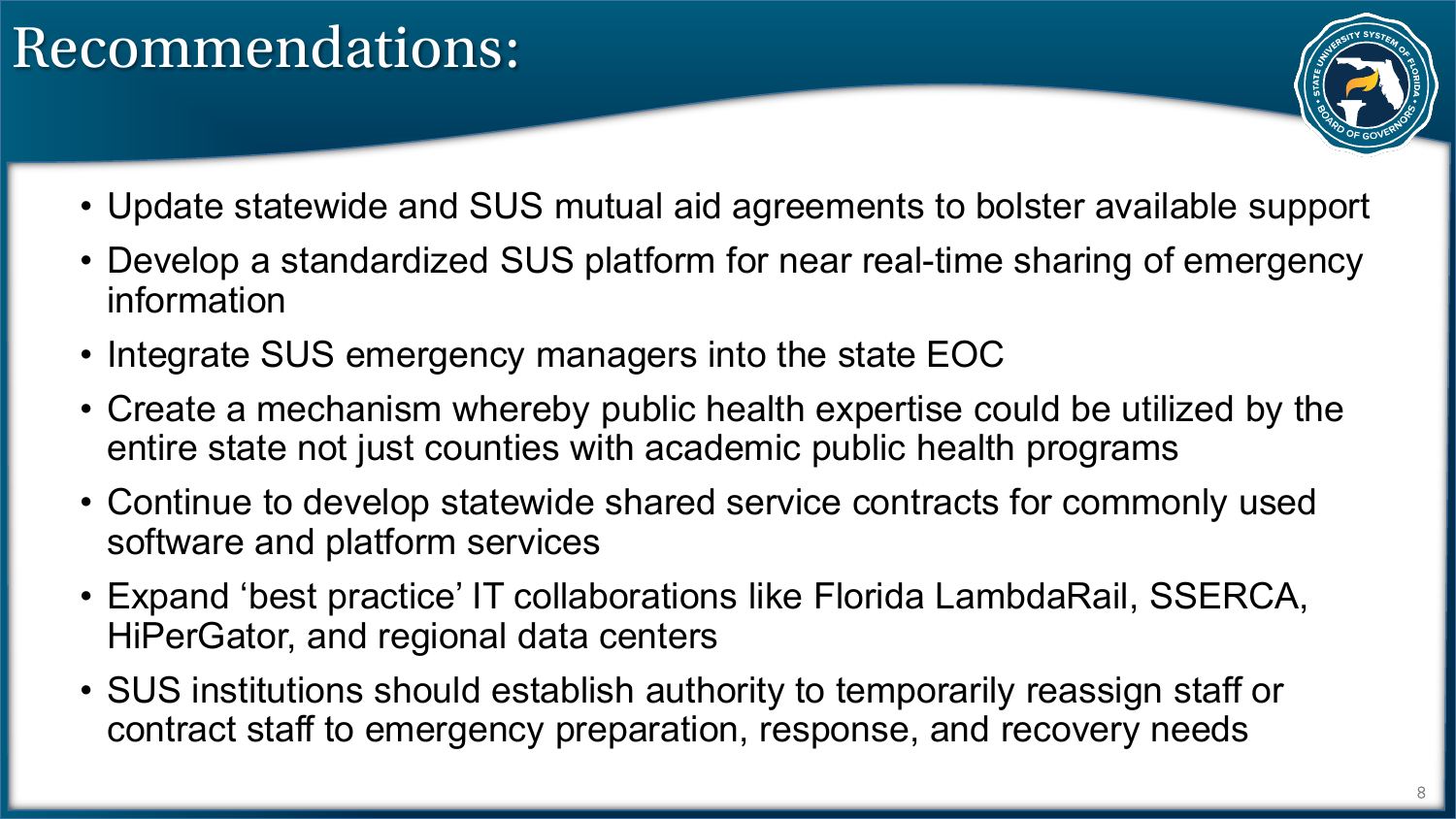## Recommendations:



- Update statewide and SUS mutual aid agreements to bolster available support
- Develop a standardized SUS platform for near real-time sharing of emergency information
- Integrate SUS emergency managers into the state EOC
- Create a mechanism whereby public health expertise could be utilized by the entire state not just counties with academic public health programs
- Continue to develop statewide shared service contracts for commonly used software and platform services
- Expand 'best practice' IT collaborations like Florida LambdaRail, SSERCA, HiPerGator, and regional data centers
- SUS institutions should establish authority to temporarily reassign staff or contract staff to emergency preparation, response, and recovery needs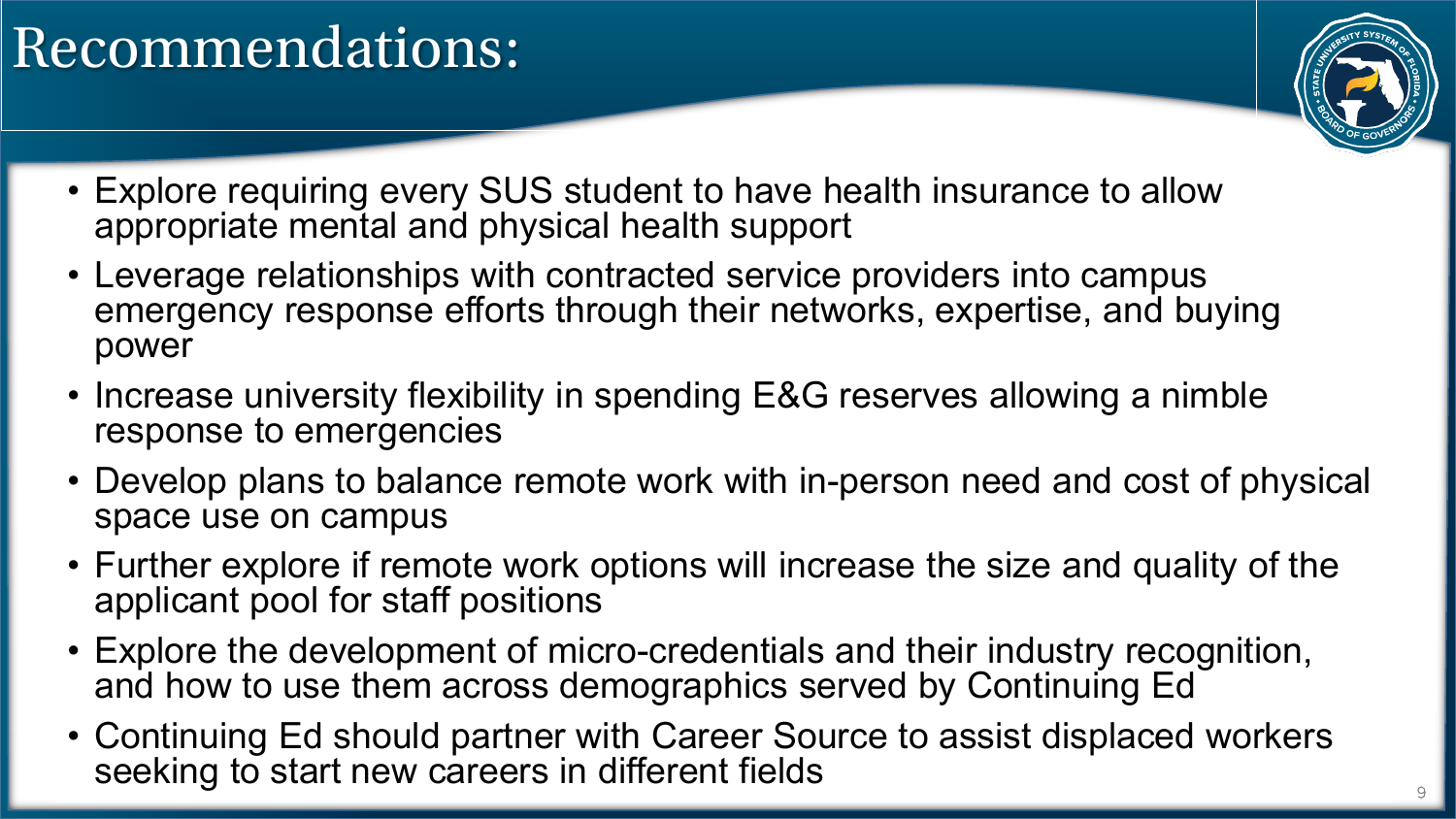## Recommendations:



- Explore requiring every SUS student to have health insurance to allow appropriate mental and physical health support
- Leverage relationships with contracted service providers into campus emergency response efforts through their networks, expertise, and buying power
- Increase university flexibility in spending E&G reserves allowing a nimble response to emergencies
- Develop plans to balance remote work with in-person need and cost of physical space use on campus
- Further explore if remote work options will increase the size and quality of the applicant pool for staff positions
- Explore the development of micro-credentials and their industry recognition, and how to use them across demographics served by Continuing Ed
- Continuing Ed should partner with Career Source to assist displaced workers seeking to start new careers in different fields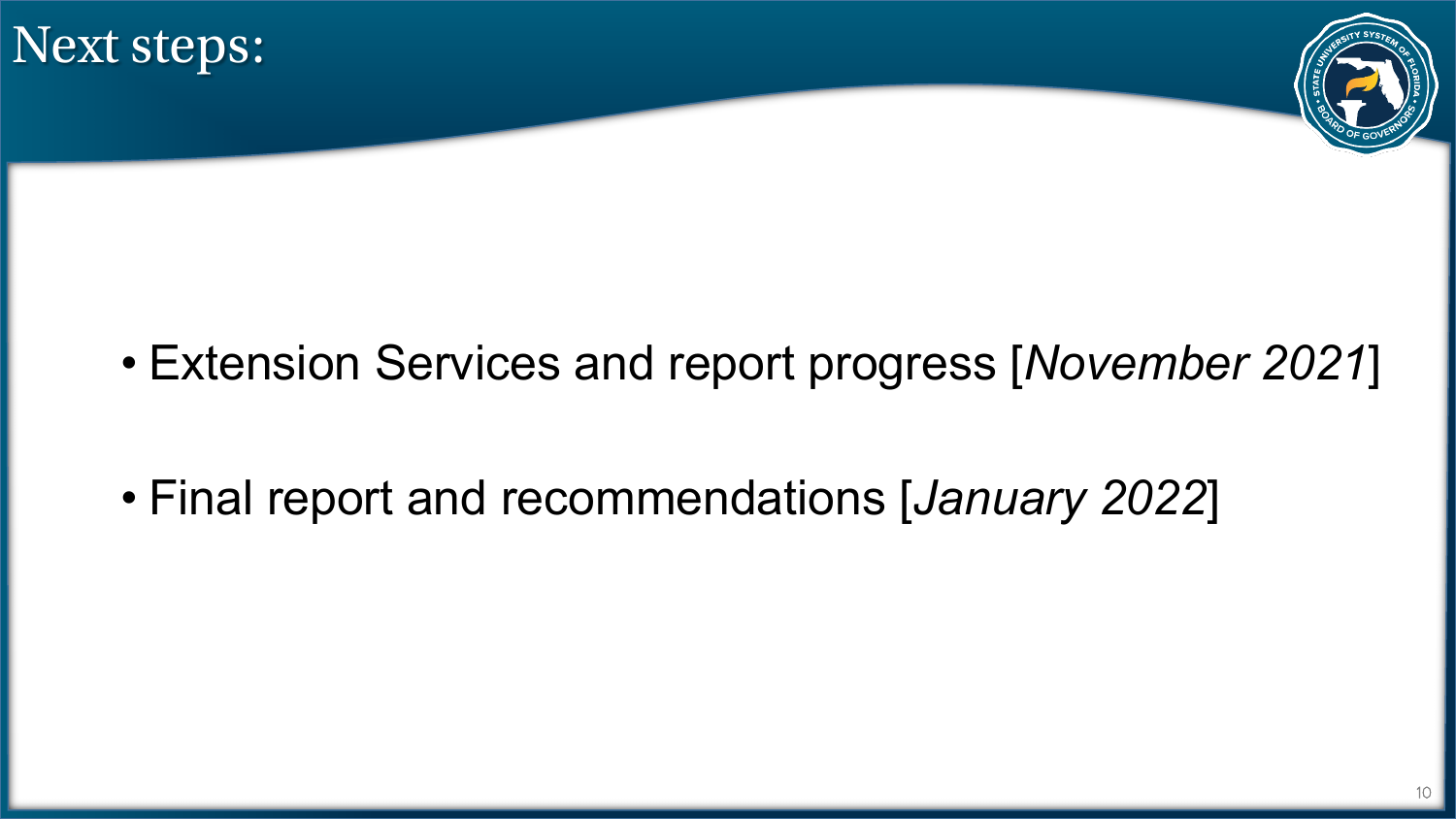



- Extension Services and report progress [*November 2021*]
- Final report and recommendations [*January 2022*]